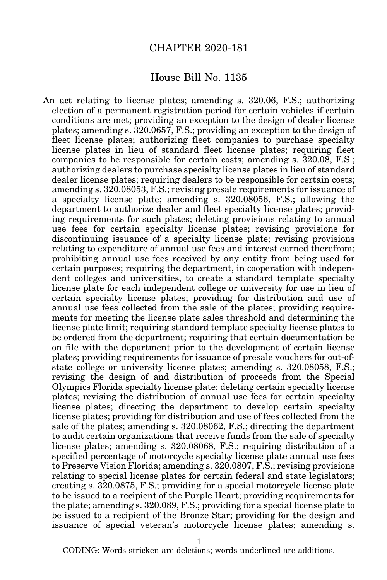#### CHAPTER 2020-181

#### House Bill No. 1135

An act relating to license plates; amending s. 320.06, F.S.; authorizing election of a permanent registration period for certain vehicles if certain conditions are met; providing an exception to the design of dealer license plates; amending s. 320.0657, F.S.; providing an exception to the design of fleet license plates; authorizing fleet companies to purchase specialty license plates in lieu of standard fleet license plates; requiring fleet companies to be responsible for certain costs; amending s. 320.08, F.S.; authorizing dealers to purchase specialty license plates in lieu of standard dealer license plates; requiring dealers to be responsible for certain costs; amending s. 320.08053, F.S.; revising presale requirements for issuance of a specialty license plate; amending s. 320.08056, F.S.; allowing the department to authorize dealer and fleet specialty license plates; providing requirements for such plates; deleting provisions relating to annual use fees for certain specialty license plates; revising provisions for discontinuing issuance of a specialty license plate; revising provisions relating to expenditure of annual use fees and interest earned therefrom; prohibiting annual use fees received by any entity from being used for certain purposes; requiring the department, in cooperation with independent colleges and universities, to create a standard template specialty license plate for each independent college or university for use in lieu of certain specialty license plates; providing for distribution and use of annual use fees collected from the sale of the plates; providing requirements for meeting the license plate sales threshold and determining the license plate limit; requiring standard template specialty license plates to be ordered from the department; requiring that certain documentation be on file with the department prior to the development of certain license plates; providing requirements for issuance of presale vouchers for out-ofstate college or university license plates; amending s. 320.08058, F.S.; revising the design of and distribution of proceeds from the Special Olympics Florida specialty license plate; deleting certain specialty license plates; revising the distribution of annual use fees for certain specialty license plates; directing the department to develop certain specialty license plates; providing for distribution and use of fees collected from the sale of the plates; amending s. 320.08062, F.S.; directing the department to audit certain organizations that receive funds from the sale of specialty license plates; amending s. 320.08068, F.S.; requiring distribution of a specified percentage of motorcycle specialty license plate annual use fees to Preserve Vision Florida; amending s. 320.0807, F.S.; revising provisions relating to special license plates for certain federal and state legislators; creating s. 320.0875, F.S.; providing for a special motorcycle license plate to be issued to a recipient of the Purple Heart; providing requirements for the plate; amending s. 320.089, F.S.; providing for a special license plate to be issued to a recipient of the Bronze Star; providing for the design and issuance of special veteran's motorcycle license plates; amending s.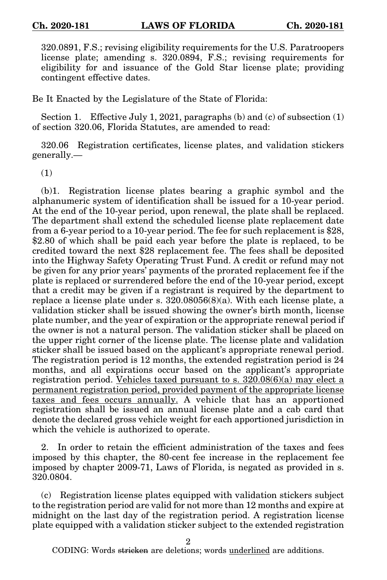320.0891, F.S.; revising eligibility requirements for the U.S. Paratroopers license plate; amending s. 320.0894, F.S.; revising requirements for eligibility for and issuance of the Gold Star license plate; providing contingent effective dates.

Be It Enacted by the Legislature of the State of Florida:

Section 1. Effective July 1, 2021, paragraphs (b) and (c) of subsection  $(1)$ of section 320.06, Florida Statutes, are amended to read:

320.06 Registration certificates, license plates, and validation stickers generally.—

(1)

(b)1. Registration license plates bearing a graphic symbol and the alphanumeric system of identification shall be issued for a 10-year period. At the end of the 10-year period, upon renewal, the plate shall be replaced. The department shall extend the scheduled license plate replacement date from a 6-year period to a 10-year period. The fee for such replacement is \$28, \$2.80 of which shall be paid each year before the plate is replaced, to be credited toward the next \$28 replacement fee. The fees shall be deposited into the Highway Safety Operating Trust Fund. A credit or refund may not be given for any prior years' payments of the prorated replacement fee if the plate is replaced or surrendered before the end of the 10-year period, except that a credit may be given if a registrant is required by the department to replace a license plate under s.  $320.08056(8)(a)$ . With each license plate, a validation sticker shall be issued showing the owner's birth month, license plate number, and the year of expiration or the appropriate renewal period if the owner is not a natural person. The validation sticker shall be placed on the upper right corner of the license plate. The license plate and validation sticker shall be issued based on the applicant's appropriate renewal period. The registration period is 12 months, the extended registration period is 24 months, and all expirations occur based on the applicant's appropriate registration period. Vehicles taxed pursuant to s.  $320.08(6)(a)$  may elect a permanent registration period, provided payment of the appropriate license taxes and fees occurs annually. A vehicle that has an apportioned registration shall be issued an annual license plate and a cab card that denote the declared gross vehicle weight for each apportioned jurisdiction in which the vehicle is authorized to operate.

2. In order to retain the efficient administration of the taxes and fees imposed by this chapter, the 80-cent fee increase in the replacement fee imposed by chapter 2009-71, Laws of Florida, is negated as provided in s. 320.0804.

(c) Registration license plates equipped with validation stickers subject to the registration period are valid for not more than 12 months and expire at midnight on the last day of the registration period. A registration license plate equipped with a validation sticker subject to the extended registration

2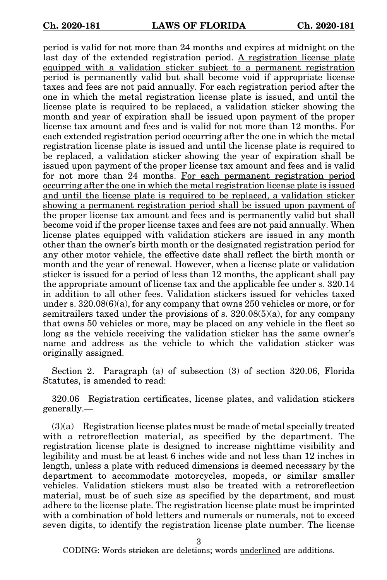period is valid for not more than 24 months and expires at midnight on the last day of the extended registration period. A registration license plate equipped with a validation sticker subject to a permanent registration period is permanently valid but shall become void if appropriate license taxes and fees are not paid annually. For each registration period after the one in which the metal registration license plate is issued, and until the license plate is required to be replaced, a validation sticker showing the month and year of expiration shall be issued upon payment of the proper license tax amount and fees and is valid for not more than 12 months. For each extended registration period occurring after the one in which the metal registration license plate is issued and until the license plate is required to be replaced, a validation sticker showing the year of expiration shall be issued upon payment of the proper license tax amount and fees and is valid for not more than 24 months. For each permanent registration period occurring after the one in which the metal registration license plate is issued and until the license plate is required to be replaced, a validation sticker showing a permanent registration period shall be issued upon payment of the proper license tax amount and fees and is permanently valid but shall become void if the proper license taxes and fees are not paid annually. When license plates equipped with validation stickers are issued in any month other than the owner's birth month or the designated registration period for any other motor vehicle, the effective date shall reflect the birth month or month and the year of renewal. However, when a license plate or validation sticker is issued for a period of less than 12 months, the applicant shall pay the appropriate amount of license tax and the applicable fee under s. 320.14 in addition to all other fees. Validation stickers issued for vehicles taxed under s.  $320.08(6)(a)$ , for any company that owns 250 vehicles or more, or for semitrailers taxed under the provisions of s.  $320.08(5)(a)$ , for any company that owns 50 vehicles or more, may be placed on any vehicle in the fleet so long as the vehicle receiving the validation sticker has the same owner's name and address as the vehicle to which the validation sticker was originally assigned.

Section 2. Paragraph (a) of subsection (3) of section 320.06, Florida Statutes, is amended to read:

320.06 Registration certificates, license plates, and validation stickers generally.—

(3)(a) Registration license plates must be made of metal specially treated with a retroreflection material, as specified by the department. The registration license plate is designed to increase nighttime visibility and legibility and must be at least 6 inches wide and not less than 12 inches in length, unless a plate with reduced dimensions is deemed necessary by the department to accommodate motorcycles, mopeds, or similar smaller vehicles. Validation stickers must also be treated with a retroreflection material, must be of such size as specified by the department, and must adhere to the license plate. The registration license plate must be imprinted with a combination of bold letters and numerals or numerals, not to exceed seven digits, to identify the registration license plate number. The license

3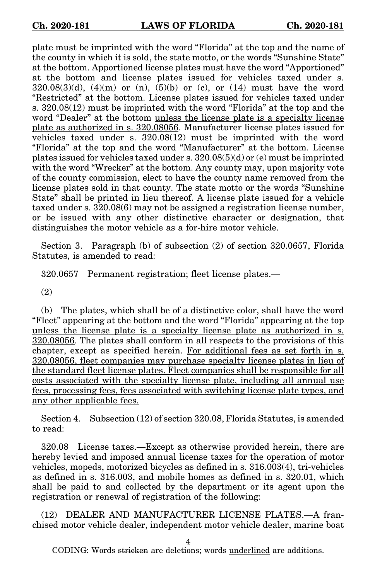plate must be imprinted with the word "Florida" at the top and the name of the county in which it is sold, the state motto, or the words "Sunshine State" at the bottom. Apportioned license plates must have the word "Apportioned" at the bottom and license plates issued for vehicles taxed under s.  $320.08(3)(d)$ ,  $(4)(m)$  or  $(n)$ ,  $(5)(b)$  or  $(c)$ , or  $(14)$  must have the word "Restricted" at the bottom. License plates issued for vehicles taxed under s. 320.08(12) must be imprinted with the word "Florida" at the top and the word "Dealer" at the bottom unless the license plate is a specialty license plate as authorized in s. 320.08056. Manufacturer license plates issued for vehicles taxed under s. 320.08(12) must be imprinted with the word "Florida" at the top and the word "Manufacturer" at the bottom. License plates issued for vehicles taxed under s. 320.08(5)(d) or (e) must be imprinted with the word "Wrecker" at the bottom. Any county may, upon majority vote of the county commission, elect to have the county name removed from the license plates sold in that county. The state motto or the words "Sunshine State" shall be printed in lieu thereof. A license plate issued for a vehicle taxed under s. 320.08(6) may not be assigned a registration license number, or be issued with any other distinctive character or designation, that distinguishes the motor vehicle as a for-hire motor vehicle.

Section 3. Paragraph (b) of subsection (2) of section 320.0657, Florida Statutes, is amended to read:

320.0657 Permanent registration; fleet license plates.—

(2)

(b) The plates, which shall be of a distinctive color, shall have the word "Fleet" appearing at the bottom and the word "Florida" appearing at the top unless the license plate is a specialty license plate as authorized in s. 320.08056. The plates shall conform in all respects to the provisions of this chapter, except as specified herein. For additional fees as set forth in s. 320.08056, fleet companies may purchase specialty license plates in lieu of the standard fleet license plates. Fleet companies shall be responsible for all costs associated with the specialty license plate, including all annual use fees, processing fees, fees associated with switching license plate types, and any other applicable fees.

Section 4. Subsection (12) of section 320.08, Florida Statutes, is amended to read:

320.08 License taxes.—Except as otherwise provided herein, there are hereby levied and imposed annual license taxes for the operation of motor vehicles, mopeds, motorized bicycles as defined in s. 316.003(4), tri-vehicles as defined in s. 316.003, and mobile homes as defined in s. 320.01, which shall be paid to and collected by the department or its agent upon the registration or renewal of registration of the following:

(12) DEALER AND MANUFACTURER LICENSE PLATES.—A franchised motor vehicle dealer, independent motor vehicle dealer, marine boat

4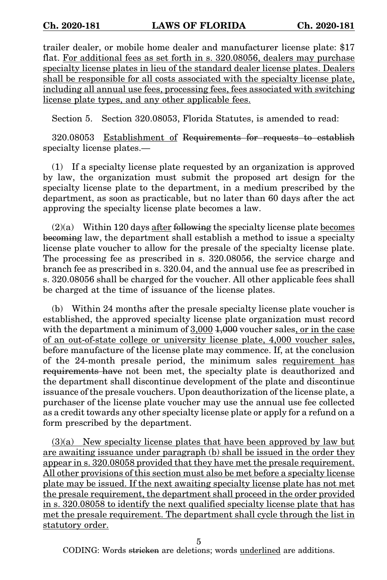trailer dealer, or mobile home dealer and manufacturer license plate: \$17 flat. For additional fees as set forth in s. 320.08056, dealers may purchase specialty license plates in lieu of the standard dealer license plates. Dealers shall be responsible for all costs associated with the specialty license plate, including all annual use fees, processing fees, fees associated with switching license plate types, and any other applicable fees.

Section 5. Section 320.08053, Florida Statutes, is amended to read:

320.08053 Establishment of Requirements for requests to establish specialty license plates.—

(1) If a specialty license plate requested by an organization is approved by law, the organization must submit the proposed art design for the specialty license plate to the department, in a medium prescribed by the department, as soon as practicable, but no later than 60 days after the act approving the specialty license plate becomes a law.

 $(2)(a)$  Within 120 days after following the specialty license plate becomes becoming law, the department shall establish a method to issue a specialty license plate voucher to allow for the presale of the specialty license plate. The processing fee as prescribed in s. 320.08056, the service charge and branch fee as prescribed in s. 320.04, and the annual use fee as prescribed in s. 320.08056 shall be charged for the voucher. All other applicable fees shall be charged at the time of issuance of the license plates.

(b) Within 24 months after the presale specialty license plate voucher is established, the approved specialty license plate organization must record with the department a minimum of  $3,000$   $1,000$  voucher sales, or in the case of an out-of-state college or university license plate, 4,000 voucher sales, before manufacture of the license plate may commence. If, at the conclusion of the 24-month presale period, the minimum sales requirement has requirements have not been met, the specialty plate is deauthorized and the department shall discontinue development of the plate and discontinue issuance of the presale vouchers. Upon deauthorization of the license plate, a purchaser of the license plate voucher may use the annual use fee collected as a credit towards any other specialty license plate or apply for a refund on a form prescribed by the department.

(3)(a) New specialty license plates that have been approved by law but are awaiting issuance under paragraph (b) shall be issued in the order they appear in s. 320.08058 provided that they have met the presale requirement. All other provisions of this section must also be met before a specialty license plate may be issued. If the next awaiting specialty license plate has not met the presale requirement, the department shall proceed in the order provided in s. 320.08058 to identify the next qualified specialty license plate that has met the presale requirement. The department shall cycle through the list in statutory order.

5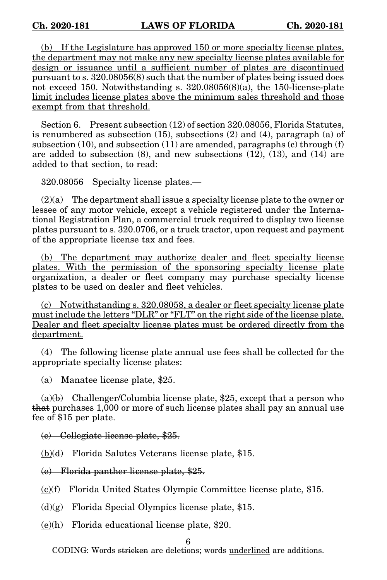(b) If the Legislature has approved 150 or more specialty license plates, the department may not make any new specialty license plates available for design or issuance until a sufficient number of plates are discontinued pursuant to s. 320.08056(8) such that the number of plates being issued does not exceed 150. Notwithstanding s. 320.08056(8)(a), the 150-license-plate limit includes license plates above the minimum sales threshold and those exempt from that threshold.

Section 6. Present subsection (12) of section 320.08056, Florida Statutes, is renumbered as subsection (15), subsections (2) and (4), paragraph (a) of subsection  $(10)$ , and subsection  $(11)$  are amended, paragraphs  $(c)$  through  $(f)$ are added to subsection (8), and new subsections (12), (13), and (14) are added to that section, to read:

320.08056 Specialty license plates.—

 $(2)(a)$  The department shall issue a specialty license plate to the owner or lessee of any motor vehicle, except a vehicle registered under the International Registration Plan, a commercial truck required to display two license plates pursuant to s. 320.0706, or a truck tractor, upon request and payment of the appropriate license tax and fees.

(b) The department may authorize dealer and fleet specialty license plates. With the permission of the sponsoring specialty license plate organization, a dealer or fleet company may purchase specialty license plates to be used on dealer and fleet vehicles.

(c) Notwithstanding s. 320.08058, a dealer or fleet specialty license plate must include the letters "DLR" or "FLT" on the right side of the license plate. Dealer and fleet specialty license plates must be ordered directly from the department.

(4) The following license plate annual use fees shall be collected for the appropriate specialty license plates:

(a) Manatee license plate, \$25.

(a) $(b)$  Challenger/Columbia license plate, \$25, except that a person who that purchases 1,000 or more of such license plates shall pay an annual use fee of \$15 per plate.

(c) Collegiate license plate, \$25.

 $(b)(d)$  Florida Salutes Veterans license plate, \$15.

(e) Florida panther license plate, \$25.

 $(c)$  Florida United States Olympic Committee license plate, \$15.

 $(d)(g)$  Florida Special Olympics license plate, \$15.

 $(e)(h)$  Florida educational license plate, \$20.

6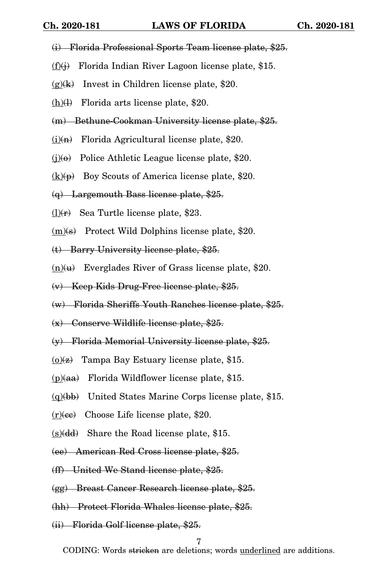- (i) Florida Professional Sports Team license plate, \$25.
- $(f)(j)$  Florida Indian River Lagoon license plate, \$15.
- $(g)(k)$  Invest in Children license plate, \$20.
- $(h)(l)$  Florida arts license plate, \$20.
- (m) Bethune-Cookman University license plate, \$25.
- $(i)$ (i) $\left( n \right)$  Florida Agricultural license plate, \$20.
- $(i)(\theta)$  Police Athletic League license plate, \$20.
- $(k)(p)$  Boy Scouts of America license plate, \$20.
- $(q)$  Largemouth Bass license plate, \$25.
- $(l)(r)$  Sea Turtle license plate, \$23.
- $(m)(s)$  Protect Wild Dolphins license plate, \$20.
- (t) Barry University license plate, \$25.
- $(n)(u)$  Everglades River of Grass license plate, \$20.
- (v) Keep Kids Drug-Free license plate, \$25.
- (w) Florida Sheriffs Youth Ranches license plate, \$25.
- (x) Conserve Wildlife license plate, \$25.
- (y) Florida Memorial University license plate, \$25.
- $(0)(z)$  Tampa Bay Estuary license plate, \$15.
- $(p)(aa)$  Florida Wildflower license plate, \$15.
- $(q)(bb)$  United States Marine Corps license plate, \$15.
- $(r)(ce)$  Choose Life license plate, \$20.
- $(s)(dd)$  Share the Road license plate, \$15.
- (ee) American Red Cross license plate, \$25.
- (ff) United We Stand license plate, \$25.
- (gg) Breast Cancer Research license plate, \$25.
- (hh) Protect Florida Whales license plate, \$25.
- (ii) Florida Golf license plate, \$25.

7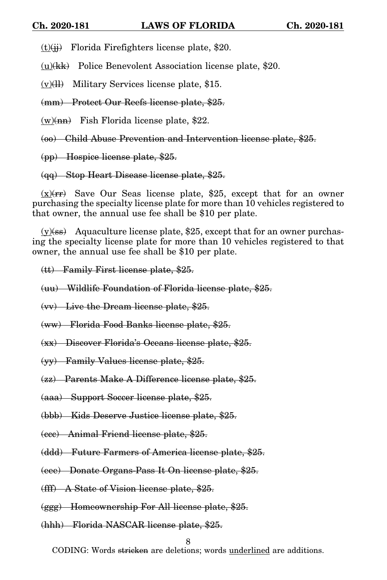$(t)(ii)$  Florida Firefighters license plate, \$20.

 $(u)(kk)$  Police Benevolent Association license plate, \$20.

 $(v)(\text{II})$  Military Services license plate, \$15.

(mm) Protect Our Reefs license plate, \$25.

 $(w)(nn)$  Fish Florida license plate, \$22.

(oo) Child Abuse Prevention and Intervention license plate, \$25.

(pp) Hospice license plate, \$25.

(qq) Stop Heart Disease license plate, \$25.

 $(x)(rr)$  Save Our Seas license plate, \$25, except that for an owner purchasing the specialty license plate for more than 10 vehicles registered to that owner, the annual use fee shall be \$10 per plate.

 $(y)(ss)$  Aquaculture license plate, \$25, except that for an owner purchasing the specialty license plate for more than 10 vehicles registered to that owner, the annual use fee shall be \$10 per plate.

(tt) Family First license plate, \$25.

(uu) Wildlife Foundation of Florida license plate, \$25.

(vv) Live the Dream license plate, \$25.

(ww) Florida Food Banks license plate, \$25.

(xx) Discover Florida's Oceans license plate, \$25.

(yy) Family Values license plate, \$25.

(zz) Parents Make A Difference license plate, \$25.

(aaa) Support Soccer license plate, \$25.

(bbb) Kids Deserve Justice license plate, \$25.

(ccc) Animal Friend license plate, \$25.

(ddd) Future Farmers of America license plate, \$25.

(eee) Donate Organs-Pass It On license plate, \$25.

(fff) A State of Vision license plate, \$25.

(ggg) Homeownership For All license plate, \$25.

(hhh) Florida NASCAR license plate, \$25.

8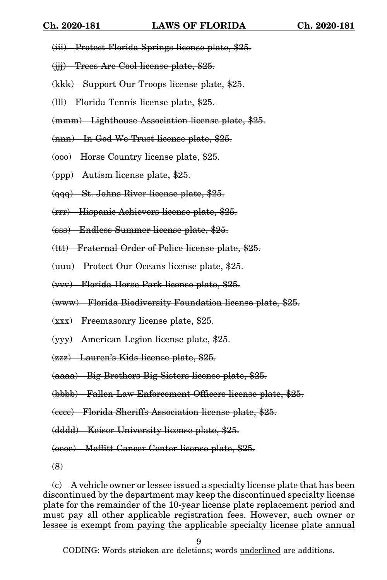- (iii) Protect Florida Springs license plate, \$25.
- (jjj) Trees Are Cool license plate, \$25.
- (kkk) Support Our Troops license plate, \$25.
- (lll) Florida Tennis license plate, \$25.
- (mmm) Lighthouse Association license plate, \$25.
- (nnn) In God We Trust license plate, \$25.
- (ooo) Horse Country license plate, \$25.
- (ppp) Autism license plate, \$25.
- (qqq) St. Johns River license plate, \$25.
- (rrr) Hispanic Achievers license plate, \$25.
- (sss) Endless Summer license plate, \$25.
- (ttt) Fraternal Order of Police license plate, \$25.
- (uuu) Protect Our Oceans license plate, \$25.
- (vvv) Florida Horse Park license plate, \$25.
- (www) Florida Biodiversity Foundation license plate, \$25.
- (xxx) Freemasonry license plate, \$25.
- (yyy) American Legion license plate, \$25.
- (zzz) Lauren's Kids license plate, \$25.
- (aaaa) Big Brothers Big Sisters license plate, \$25.
- (bbbb) Fallen Law Enforcement Officers license plate, \$25.
- (cccc) Florida Sheriffs Association license plate, \$25.
- (dddd) Keiser University license plate, \$25.

(eeee) Moffitt Cancer Center license plate, \$25.

(8)

(c) A vehicle owner or lessee issued a specialty license plate that has been discontinued by the department may keep the discontinued specialty license plate for the remainder of the 10-year license plate replacement period and must pay all other applicable registration fees. However, such owner or lessee is exempt from paying the applicable specialty license plate annual

9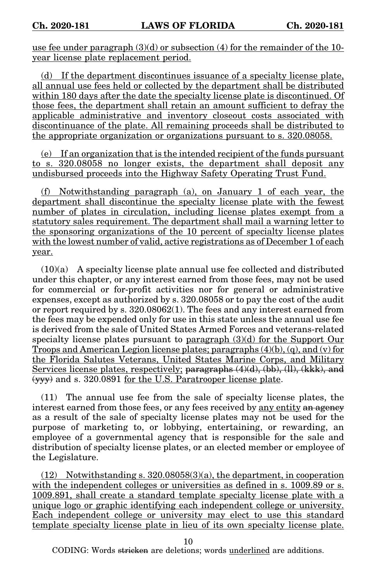use fee under paragraph  $(3)(d)$  or subsection  $(4)$  for the remainder of the 10year license plate replacement period.

(d) If the department discontinues issuance of a specialty license plate, all annual use fees held or collected by the department shall be distributed within 180 days after the date the specialty license plate is discontinued. Of those fees, the department shall retain an amount sufficient to defray the applicable administrative and inventory closeout costs associated with discontinuance of the plate. All remaining proceeds shall be distributed to the appropriate organization or organizations pursuant to s. 320.08058.

(e) If an organization that is the intended recipient of the funds pursuant to s. 320.08058 no longer exists, the department shall deposit any undisbursed proceeds into the Highway Safety Operating Trust Fund.

(f) Notwithstanding paragraph (a), on January 1 of each year, the department shall discontinue the specialty license plate with the fewest number of plates in circulation, including license plates exempt from a statutory sales requirement. The department shall mail a warning letter to the sponsoring organizations of the 10 percent of specialty license plates with the lowest number of valid, active registrations as of December 1 of each year.

 $(10)(a)$  A specialty license plate annual use fee collected and distributed under this chapter, or any interest earned from those fees, may not be used for commercial or for-profit activities nor for general or administrative expenses, except as authorized by s. 320.08058 or to pay the cost of the audit or report required by s. 320.08062(1). The fees and any interest earned from the fees may be expended only for use in this state unless the annual use fee is derived from the sale of United States Armed Forces and veterans-related specialty license plates pursuant to paragraph (3)(d) for the Support Our Troops and American Legion license plates; paragraphs  $(4)(b)$ ,  $(q)$ , and  $(v)$  for the Florida Salutes Veterans, United States Marine Corps, and Military Services license plates, respectively; paragraphs (4)(d), (bb), (ll), (kkk), and (yyy) and s. 320.0891 for the U.S. Paratrooper license plate.

(11) The annual use fee from the sale of specialty license plates, the interest earned from those fees, or any fees received by any entity an agency as a result of the sale of specialty license plates may not be used for the purpose of marketing to, or lobbying, entertaining, or rewarding, an employee of a governmental agency that is responsible for the sale and distribution of specialty license plates, or an elected member or employee of the Legislature.

(12) Notwithstanding s. 320.08058(3)(a), the department, in cooperation with the independent colleges or universities as defined in s. 1009.89 or s. 1009.891, shall create a standard template specialty license plate with a unique logo or graphic identifying each independent college or university. Each independent college or university may elect to use this standard template specialty license plate in lieu of its own specialty license plate.

10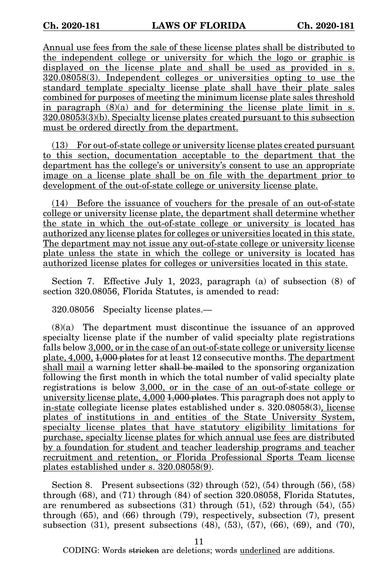Annual use fees from the sale of these license plates shall be distributed to the independent college or university for which the logo or graphic is displayed on the license plate and shall be used as provided in s. 320.08058(3). Independent colleges or universities opting to use the standard template specialty license plate shall have their plate sales combined for purposes of meeting the minimum license plate sales threshold in paragraph  $(8)(a)$  and for determining the license plate limit in s.  $320.08053(3)$ (b). Specialty license plates created pursuant to this subsection must be ordered directly from the department.

(13) For out-of-state college or university license plates created pursuant to this section, documentation acceptable to the department that the department has the college's or university's consent to use an appropriate image on a license plate shall be on file with the department prior to development of the out-of-state college or university license plate.

(14) Before the issuance of vouchers for the presale of an out-of-state college or university license plate, the department shall determine whether the state in which the out-of-state college or university is located has authorized any license plates for colleges or universities located in this state. The department may not issue any out-of-state college or university license plate unless the state in which the college or university is located has authorized license plates for colleges or universities located in this state.

Section 7. Effective July 1, 2023, paragraph (a) of subsection (8) of section 320.08056, Florida Statutes, is amended to read:

320.08056 Specialty license plates.—

(8)(a) The department must discontinue the issuance of an approved specialty license plate if the number of valid specialty plate registrations falls below 3,000, or in the case of an out-of-state college or university license plate, 4,000, 1,000 plates for at least 12 consecutive months. The department shall mail a warning letter shall be mailed to the sponsoring organization following the first month in which the total number of valid specialty plate registrations is below 3,000, or in the case of an out-of-state college or university license plate,  $4,000$   $\overline{1,000}$  plates. This paragraph does not apply to in-state collegiate license plates established under s. 320.08058(3), license plates of institutions in and entities of the State University System, specialty license plates that have statutory eligibility limitations for purchase, specialty license plates for which annual use fees are distributed by a foundation for student and teacher leadership programs and teacher recruitment and retention, or Florida Professional Sports Team license plates established under s. 320.08058(9).

Section 8. Present subsections  $(32)$  through  $(52)$ ,  $(54)$  through  $(56)$ ,  $(58)$ through (68), and (71) through (84) of section 320.08058, Florida Statutes, are renumbered as subsections  $(31)$  through  $(51)$ ,  $(52)$  through  $(54)$ ,  $(55)$ through (65), and (66) through (79), respectively, subsection (7), present subsection (31), present subsections (48), (53), (57), (66), (69), and (70),

11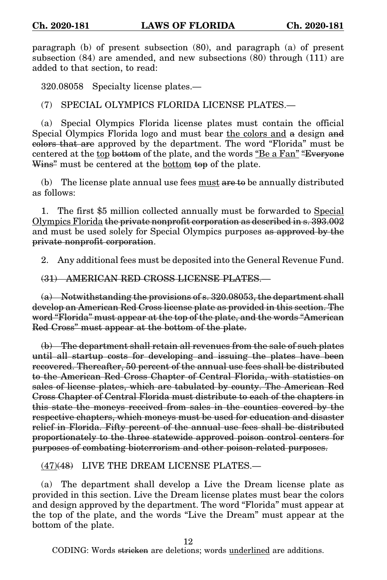paragraph (b) of present subsection (80), and paragraph (a) of present subsection (84) are amended, and new subsections (80) through (111) are added to that section, to read:

320.08058 Specialty license plates.—

(7) SPECIAL OLYMPICS FLORIDA LICENSE PLATES.—

(a) Special Olympics Florida license plates must contain the official Special Olympics Florida logo and must bear the colors and a design and colors that are approved by the department. The word "Florida" must be centered at the top bottom of the plate, and the words "Be a Fan" "Everyone Wins<sup>2</sup> must be centered at the <u>bottom</u> top of the plate.

(b) The license plate annual use fees must  $\alpha$  be annually distributed as follows:

1. The first \$5 million collected annually must be forwarded to Special Olympics Florida the private nonprofit corporation as described in s. 393.002 and must be used solely for Special Olympics purposes as approved by the private nonprofit corporation.

2. Any additional fees must be deposited into the General Revenue Fund.

(31) AMERICAN RED CROSS LICENSE PLATES.—

 $(a)$  Notwithstanding the provisions of s. 320,08053, the department shall develop an American Red Cross license plate as provided in this section. The word "Florida" must appear at the top of the plate, and the words "American Red Cross" must appear at the bottom of the plate.

(b) The department shall retain all revenues from the sale of such plates until all startup costs for developing and issuing the plates have been recovered. Thereafter, 50 percent of the annual use fees shall be distributed to the American Red Cross Chapter of Central Florida, with statistics on sales of license plates, which are tabulated by county. The American Red Cross Chapter of Central Florida must distribute to each of the chapters in this state the moneys received from sales in the counties covered by the respective chapters, which moneys must be used for education and disaster relief in Florida. Fifty percent of the annual use fees shall be distributed proportionately to the three statewide approved poison control centers for purposes of combating bioterrorism and other poison-related purposes.

(47)(48) LIVE THE DREAM LICENSE PLATES.—

(a) The department shall develop a Live the Dream license plate as provided in this section. Live the Dream license plates must bear the colors and design approved by the department. The word "Florida" must appear at the top of the plate, and the words "Live the Dream" must appear at the bottom of the plate.

12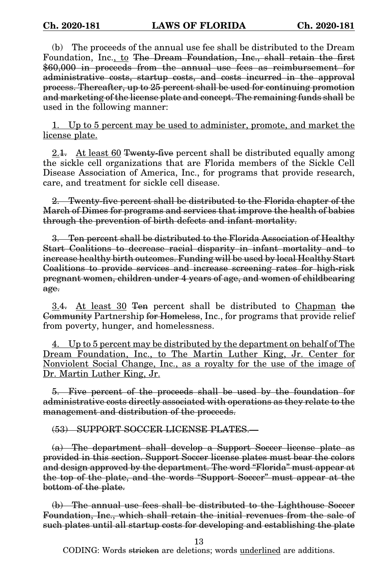(b) The proceeds of the annual use fee shall be distributed to the Dream Foundation, Inc., to The Dream Foundation, Inc., shall retain the first \$60,000 in proceeds from the annual use fees as reimbursement for administrative costs, startup costs, and costs incurred in the approval process. Thereafter, up to 25 percent shall be used for continuing promotion and marketing of the license plate and concept. The remaining funds shall be used in the following manner:

1. Up to 5 percent may be used to administer, promote, and market the license plate.

2.1. At least 60 Twenty-five percent shall be distributed equally among the sickle cell organizations that are Florida members of the Sickle Cell Disease Association of America, Inc., for programs that provide research, care, and treatment for sickle cell disease.

2. Twenty-five percent shall be distributed to the Florida chapter of the March of Dimes for programs and services that improve the health of babies through the prevention of birth defects and infant mortality.

3. Ten percent shall be distributed to the Florida Association of Healthy Start Coalitions to decrease racial disparity in infant mortality and to increase healthy birth outcomes. Funding will be used by local Healthy Start Coalitions to provide services and increase screening rates for high-risk pregnant women, children under 4 years of age, and women of childbearing age.

3.4. At least 30 Ten percent shall be distributed to Chapman the Community Partnership for Homeless, Inc., for programs that provide relief from poverty, hunger, and homelessness.

4. Up to 5 percent may be distributed by the department on behalf of The Dream Foundation, Inc., to The Martin Luther King, Jr. Center for Nonviolent Social Change, Inc., as a royalty for the use of the image of Dr. Martin Luther King, Jr.

5. Five percent of the proceeds shall be used by the foundation for administrative costs directly associated with operations as they relate to the management and distribution of the proceeds.

(53) SUPPORT SOCCER LICENSE PLATES.—

(a) The department shall develop a Support Soccer license plate as provided in this section. Support Soccer license plates must bear the colors and design approved by the department. The word "Florida" must appear at the top of the plate, and the words "Support Soccer" must appear at the bottom of the plate.

(b) The annual use fees shall be distributed to the Lighthouse Soccer Foundation, Inc., which shall retain the initial revenues from the sale of such plates until all startup costs for developing and establishing the plate

13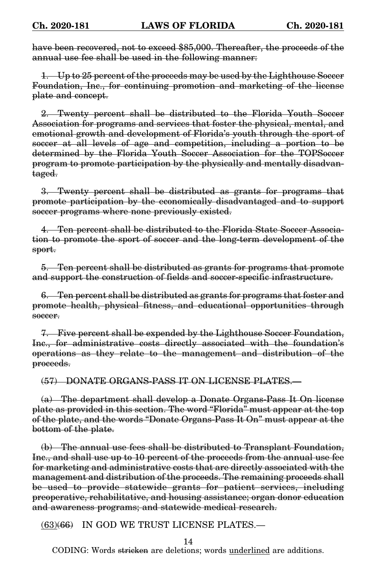have been recovered, not to exceed \$85,000. Thereafter, the proceeds of the annual use fee shall be used in the following manner:

1. Up to 25 percent of the proceeds may be used by the Lighthouse Soccer Foundation, Inc., for continuing promotion and marketing of the license plate and concept.

2. Twenty percent shall be distributed to the Florida Youth Soccer Association for programs and services that foster the physical, mental, and emotional growth and development of Florida's youth through the sport of soccer at all levels of age and competition, including a portion to be determined by the Florida Youth Soccer Association for the TOPSoccer program to promote participation by the physically and mentally disadvantaged.

3. Twenty percent shall be distributed as grants for programs that promote participation by the economically disadvantaged and to support soccer programs where none previously existed.

4. Ten percent shall be distributed to the Florida State Soccer Association to promote the sport of soccer and the long-term development of the sport.

5. Ten percent shall be distributed as grants for programs that promote and support the construction of fields and soccer-specific infrastructure.

6. Ten percent shall be distributed as grants for programs that foster and promote health, physical fitness, and educational opportunities through soccer.

7. Five percent shall be expended by the Lighthouse Soccer Foundation, Inc., for administrative costs directly associated with the foundation's operations as they relate to the management and distribution of the proceeds.

(57) DONATE ORGANS-PASS IT ON LICENSE PLATES.—

(a) The department shall develop a Donate Organs-Pass It On license plate as provided in this section. The word "Florida" must appear at the top of the plate, and the words "Donate Organs-Pass It On" must appear at the bottom of the plate.

(b) The annual use fees shall be distributed to Transplant Foundation, Inc., and shall use up to 10 percent of the proceeds from the annual use fee for marketing and administrative costs that are directly associated with the management and distribution of the proceeds. The remaining proceeds shall be used to provide statewide grants for patient services, including preoperative, rehabilitative, and housing assistance; organ donor education and awareness programs; and statewide medical research.

(63)(66) IN GOD WE TRUST LICENSE PLATES.—

14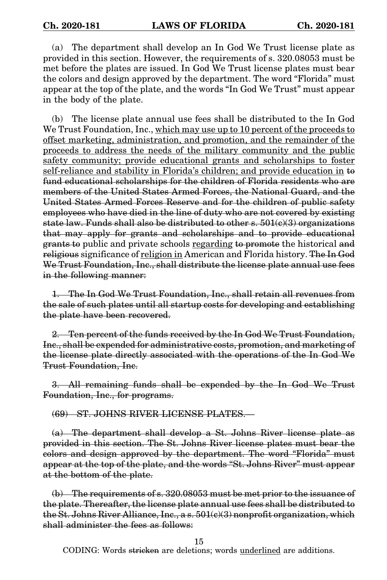(a) The department shall develop an In God We Trust license plate as provided in this section. However, the requirements of s. 320.08053 must be met before the plates are issued. In God We Trust license plates must bear the colors and design approved by the department. The word "Florida" must appear at the top of the plate, and the words "In God We Trust" must appear in the body of the plate.

(b) The license plate annual use fees shall be distributed to the In God We Trust Foundation, Inc., which may use up to 10 percent of the proceeds to offset marketing, administration, and promotion, and the remainder of the proceeds to address the needs of the military community and the public safety community; provide educational grants and scholarships to foster self-reliance and stability in Florida's children; and provide education in to fund educational scholarships for the children of Florida residents who are members of the United States Armed Forces, the National Guard, and the United States Armed Forces Reserve and for the children of public safety employees who have died in the line of duty who are not covered by existing state law. Funds shall also be distributed to other s.  $501(e)(3)$  organizations that may apply for grants and scholarships and to provide educational grants to public and private schools regarding to promote the historical and religious significance of religion in American and Florida history. The In God We Trust Foundation, Inc., shall distribute the license plate annual use fees in the following manner:

1. The In God We Trust Foundation, Inc., shall retain all revenues from the sale of such plates until all startup costs for developing and establishing the plate have been recovered.

2. Ten percent of the funds received by the In God We Trust Foundation, Inc., shall be expended for administrative costs, promotion, and marketing of the license plate directly associated with the operations of the In God We Trust Foundation, Inc.

3. All remaining funds shall be expended by the In God We Trust Foundation, Inc., for programs.

(69) ST. JOHNS RIVER LICENSE PLATES.—

(a) The department shall develop a St. Johns River license plate as provided in this section. The St. Johns River license plates must bear the colors and design approved by the department. The word "Florida" must appear at the top of the plate, and the words "St. Johns River" must appear at the bottom of the plate.

(b) The requirements of s. 320.08053 must be met prior to the issuance of the plate. Thereafter, the license plate annual use fees shall be distributed to the St. Johns River Alliance, Inc., a s.  $501(e)(3)$  nonprofit organization, which shall administer the fees as follows:

15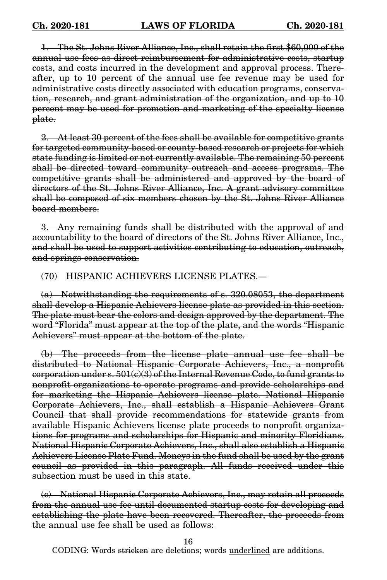1. The St. Johns River Alliance, Inc., shall retain the first \$60,000 of the annual use fees as direct reimbursement for administrative costs, startup costs, and costs incurred in the development and approval process. Thereafter, up to 10 percent of the annual use fee revenue may be used for administrative costs directly associated with education programs, conservation, research, and grant administration of the organization, and up to 10 percent may be used for promotion and marketing of the specialty license plate.

2. At least 30 percent of the fees shall be available for competitive grants for targeted community-based or county-based research or projects for which state funding is limited or not currently available. The remaining 50 percent shall be directed toward community outreach and access programs. The competitive grants shall be administered and approved by the board of directors of the St. Johns River Alliance, Inc. A grant advisory committee shall be composed of six members chosen by the St. Johns River Alliance board members.

3. Any remaining funds shall be distributed with the approval of and accountability to the board of directors of the St. Johns River Alliance, Inc., and shall be used to support activities contributing to education, outreach, and springs conservation.

(70) HISPANIC ACHIEVERS LICENSE PLATES.—

(a) Notwithstanding the requirements of s. 320.08053, the department shall develop a Hispanic Achievers license plate as provided in this section. The plate must bear the colors and design approved by the department. The word "Florida" must appear at the top of the plate, and the words "Hispanic Achievers" must appear at the bottom of the plate.

(b) The proceeds from the license plate annual use fee shall be distributed to National Hispanic Corporate Achievers, Inc., a nonprofit corporation under s.  $501(e)(3)$  of the Internal Revenue Code, to fund grants to nonprofit organizations to operate programs and provide scholarships and for marketing the Hispanic Achievers license plate. National Hispanic Corporate Achievers, Inc., shall establish a Hispanic Achievers Grant Council that shall provide recommendations for statewide grants from available Hispanic Achievers license plate proceeds to nonprofit organizations for programs and scholarships for Hispanic and minority Floridians. National Hispanic Corporate Achievers, Inc., shall also establish a Hispanic Achievers License Plate Fund. Moneys in the fund shall be used by the grant council as provided in this paragraph. All funds received under this subsection must be used in this state.

(c) National Hispanic Corporate Achievers, Inc., may retain all proceeds from the annual use fee until documented startup costs for developing and establishing the plate have been recovered. Thereafter, the proceeds from the annual use fee shall be used as follows:

16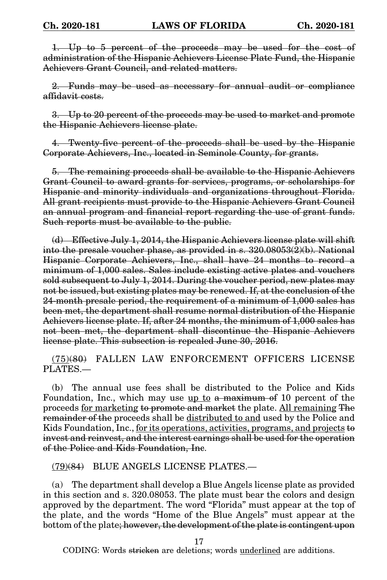1. Up to 5 percent of the proceeds may be used for the cost of administration of the Hispanic Achievers License Plate Fund, the Hispanic Achievers Grant Council, and related matters.

2. Funds may be used as necessary for annual audit or compliance affidavit costs.

3. Up to 20 percent of the proceeds may be used to market and promote the Hispanic Achievers license plate.

4. Twenty-five percent of the proceeds shall be used by the Hispanic Corporate Achievers, Inc., located in Seminole County, for grants.

5. The remaining proceeds shall be available to the Hispanic Achievers Grant Council to award grants for services, programs, or scholarships for Hispanic and minority individuals and organizations throughout Florida. All grant recipients must provide to the Hispanic Achievers Grant Council an annual program and financial report regarding the use of grant funds. Such reports must be available to the public.

(d) Effective July 1, 2014, the Hispanic Achievers license plate will shift into the presale voucher phase, as provided in s. 320.08053(2)(b). National Hispanic Corporate Achievers, Inc., shall have 24 months to record a minimum of 1,000 sales. Sales include existing active plates and vouchers sold subsequent to July 1, 2014. During the voucher period, new plates may not be issued, but existing plates may be renewed. If, at the conclusion of the 24-month presale period, the requirement of a minimum of 1,000 sales has been met, the department shall resume normal distribution of the Hispanic Achievers license plate. If, after 24 months, the minimum of 1,000 sales has not been met, the department shall discontinue the Hispanic Achievers license plate. This subsection is repealed June 30, 2016.

(75)(80) FALLEN LAW ENFORCEMENT OFFICERS LICENSE PLATES.—

(b) The annual use fees shall be distributed to the Police and Kids Foundation, Inc., which may use up to a maximum of 10 percent of the proceeds for marketing to promote and market the plate. All remaining The remainder of the proceeds shall be distributed to and used by the Police and Kids Foundation, Inc., for its operations, activities, programs, and projects to invest and reinvest, and the interest earnings shall be used for the operation of the Police and Kids Foundation, Inc.

(79)(84) BLUE ANGELS LICENSE PLATES.—

(a) The department shall develop a Blue Angels license plate as provided in this section and s. 320.08053. The plate must bear the colors and design approved by the department. The word "Florida" must appear at the top of the plate, and the words "Home of the Blue Angels" must appear at the bottom of the plate; however, the development of the plate is contingent upon

17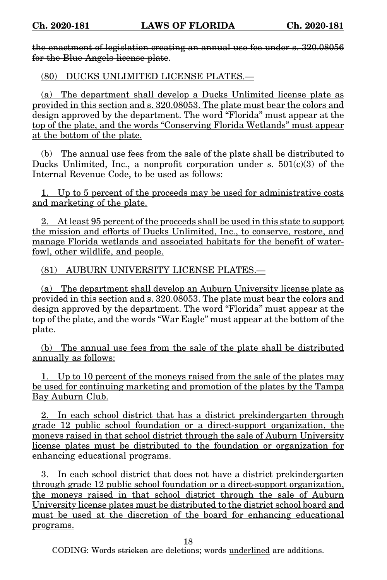the enactment of legislation creating an annual use fee under s. 320.08056 for the Blue Angels license plate.

(80) DUCKS UNLIMITED LICENSE PLATES.—

(a) The department shall develop a Ducks Unlimited license plate as provided in this section and s. 320.08053. The plate must bear the colors and design approved by the department. The word "Florida" must appear at the top of the plate, and the words "Conserving Florida Wetlands" must appear at the bottom of the plate.

(b) The annual use fees from the sale of the plate shall be distributed to Ducks Unlimited, Inc., a nonprofit corporation under s.  $501(c)(3)$  of the Internal Revenue Code, to be used as follows:

1. Up to 5 percent of the proceeds may be used for administrative costs and marketing of the plate.

2. At least 95 percent of the proceeds shall be used in this state to support the mission and efforts of Ducks Unlimited, Inc., to conserve, restore, and manage Florida wetlands and associated habitats for the benefit of waterfowl, other wildlife, and people.

(81) AUBURN UNIVERSITY LICENSE PLATES.—

(a) The department shall develop an Auburn University license plate as provided in this section and s. 320.08053. The plate must bear the colors and design approved by the department. The word "Florida" must appear at the top of the plate, and the words "War Eagle" must appear at the bottom of the plate.

(b) The annual use fees from the sale of the plate shall be distributed annually as follows:

1. Up to 10 percent of the moneys raised from the sale of the plates may be used for continuing marketing and promotion of the plates by the Tampa Bay Auburn Club.

2. In each school district that has a district prekindergarten through grade 12 public school foundation or a direct-support organization, the moneys raised in that school district through the sale of Auburn University license plates must be distributed to the foundation or organization for enhancing educational programs.

3. In each school district that does not have a district prekindergarten through grade 12 public school foundation or a direct-support organization, the moneys raised in that school district through the sale of Auburn University license plates must be distributed to the district school board and must be used at the discretion of the board for enhancing educational programs.

18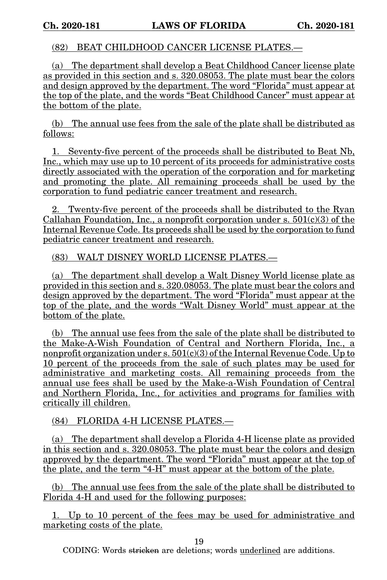(82) BEAT CHILDHOOD CANCER LICENSE PLATES.—

(a) The department shall develop a Beat Childhood Cancer license plate as provided in this section and s. 320.08053. The plate must bear the colors and design approved by the department. The word "Florida" must appear at the top of the plate, and the words "Beat Childhood Cancer" must appear at the bottom of the plate.

(b) The annual use fees from the sale of the plate shall be distributed as follows:

1. Seventy-five percent of the proceeds shall be distributed to Beat Nb, Inc., which may use up to 10 percent of its proceeds for administrative costs directly associated with the operation of the corporation and for marketing and promoting the plate. All remaining proceeds shall be used by the corporation to fund pediatric cancer treatment and research.

2. Twenty-five percent of the proceeds shall be distributed to the Ryan Callahan Foundation, Inc., a nonprofit corporation under s.  $501(c)(3)$  of the Internal Revenue Code. Its proceeds shall be used by the corporation to fund pediatric cancer treatment and research.

(83) WALT DISNEY WORLD LICENSE PLATES.—

(a) The department shall develop a Walt Disney World license plate as provided in this section and s. 320.08053. The plate must bear the colors and design approved by the department. The word "Florida" must appear at the top of the plate, and the words "Walt Disney World" must appear at the bottom of the plate.

(b) The annual use fees from the sale of the plate shall be distributed to the Make-A-Wish Foundation of Central and Northern Florida, Inc., a nonprofit organization under s.  $501(c)(3)$  of the Internal Revenue Code. Up to 10 percent of the proceeds from the sale of such plates may be used for administrative and marketing costs. All remaining proceeds from the annual use fees shall be used by the Make-a-Wish Foundation of Central and Northern Florida, Inc., for activities and programs for families with critically ill children.

(84) FLORIDA 4-H LICENSE PLATES.—

(a) The department shall develop a Florida 4-H license plate as provided in this section and s. 320.08053. The plate must bear the colors and design approved by the department. The word "Florida" must appear at the top of the plate, and the term "4-H" must appear at the bottom of the plate.

(b) The annual use fees from the sale of the plate shall be distributed to Florida 4-H and used for the following purposes:

1. Up to 10 percent of the fees may be used for administrative and marketing costs of the plate.

19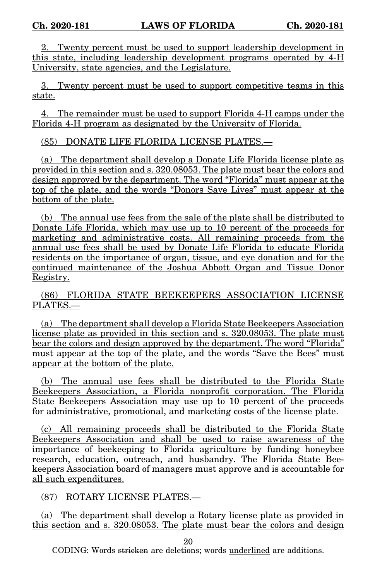Twenty percent must be used to support leadership development in this state, including leadership development programs operated by 4-H University, state agencies, and the Legislature.

3. Twenty percent must be used to support competitive teams in this state.

4. The remainder must be used to support Florida 4-H camps under the Florida 4-H program as designated by the University of Florida.

(85) DONATE LIFE FLORIDA LICENSE PLATES.—

(a) The department shall develop a Donate Life Florida license plate as provided in this section and s. 320.08053. The plate must bear the colors and design approved by the department. The word "Florida" must appear at the top of the plate, and the words "Donors Save Lives" must appear at the bottom of the plate.

(b) The annual use fees from the sale of the plate shall be distributed to Donate Life Florida, which may use up to 10 percent of the proceeds for marketing and administrative costs. All remaining proceeds from the annual use fees shall be used by Donate Life Florida to educate Florida residents on the importance of organ, tissue, and eye donation and for the continued maintenance of the Joshua Abbott Organ and Tissue Donor Registry.

(86) FLORIDA STATE BEEKEEPERS ASSOCIATION LICENSE PLATES.—

(a) The department shall develop a Florida State Beekeepers Association license plate as provided in this section and s. 320.08053. The plate must bear the colors and design approved by the department. The word "Florida" must appear at the top of the plate, and the words "Save the Bees" must appear at the bottom of the plate.

(b) The annual use fees shall be distributed to the Florida State Beekeepers Association, a Florida nonprofit corporation. The Florida State Beekeepers Association may use up to 10 percent of the proceeds for administrative, promotional, and marketing costs of the license plate.

(c) All remaining proceeds shall be distributed to the Florida State Beekeepers Association and shall be used to raise awareness of the importance of beekeeping to Florida agriculture by funding honeybee research, education, outreach, and husbandry. The Florida State Beekeepers Association board of managers must approve and is accountable for all such expenditures.

(87) ROTARY LICENSE PLATES.—

(a) The department shall develop a Rotary license plate as provided in this section and s. 320.08053. The plate must bear the colors and design

20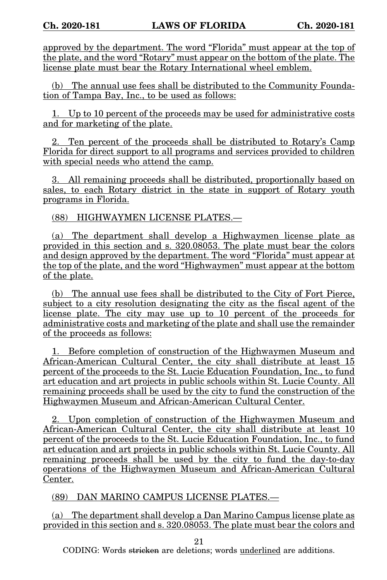approved by the department. The word "Florida" must appear at the top of the plate, and the word "Rotary" must appear on the bottom of the plate. The license plate must bear the Rotary International wheel emblem.

(b) The annual use fees shall be distributed to the Community Foundation of Tampa Bay, Inc., to be used as follows:

1. Up to 10 percent of the proceeds may be used for administrative costs and for marketing of the plate.

2. Ten percent of the proceeds shall be distributed to Rotary's Camp Florida for direct support to all programs and services provided to children with special needs who attend the camp.

3. All remaining proceeds shall be distributed, proportionally based on sales, to each Rotary district in the state in support of Rotary youth programs in Florida.

(88) HIGHWAYMEN LICENSE PLATES.—

(a) The department shall develop a Highwaymen license plate as provided in this section and s. 320.08053. The plate must bear the colors and design approved by the department. The word "Florida" must appear at the top of the plate, and the word "Highwaymen" must appear at the bottom of the plate.

(b) The annual use fees shall be distributed to the City of Fort Pierce, subject to a city resolution designating the city as the fiscal agent of the license plate. The city may use up to 10 percent of the proceeds for administrative costs and marketing of the plate and shall use the remainder of the proceeds as follows:

1. Before completion of construction of the Highwaymen Museum and African-American Cultural Center, the city shall distribute at least 15 percent of the proceeds to the St. Lucie Education Foundation, Inc., to fund art education and art projects in public schools within St. Lucie County. All remaining proceeds shall be used by the city to fund the construction of the Highwaymen Museum and African-American Cultural Center.

2. Upon completion of construction of the Highwaymen Museum and African-American Cultural Center, the city shall distribute at least 10 percent of the proceeds to the St. Lucie Education Foundation, Inc., to fund art education and art projects in public schools within St. Lucie County. All remaining proceeds shall be used by the city to fund the day-to-day operations of the Highwaymen Museum and African-American Cultural Center.

(89) DAN MARINO CAMPUS LICENSE PLATES.—

(a) The department shall develop a Dan Marino Campus license plate as provided in this section and s. 320.08053. The plate must bear the colors and

21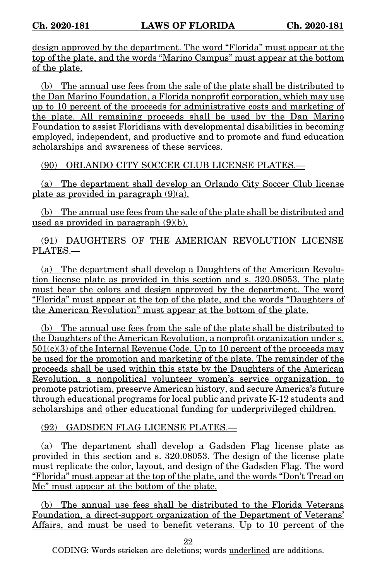design approved by the department. The word "Florida" must appear at the top of the plate, and the words "Marino Campus" must appear at the bottom of the plate.

(b) The annual use fees from the sale of the plate shall be distributed to the Dan Marino Foundation, a Florida nonprofit corporation, which may use up to 10 percent of the proceeds for administrative costs and marketing of the plate. All remaining proceeds shall be used by the Dan Marino Foundation to assist Floridians with developmental disabilities in becoming employed, independent, and productive and to promote and fund education scholarships and awareness of these services.

(90) ORLANDO CITY SOCCER CLUB LICENSE PLATES.—

(a) The department shall develop an Orlando City Soccer Club license plate as provided in paragraph  $(9)(a)$ .

(b) The annual use fees from the sale of the plate shall be distributed and used as provided in paragraph (9)(b).

# (91) DAUGHTERS OF THE AMERICAN REVOLUTION LICENSE PLATES.—

(a) The department shall develop a Daughters of the American Revolution license plate as provided in this section and s. 320.08053. The plate must bear the colors and design approved by the department. The word "Florida" must appear at the top of the plate, and the words "Daughters of the American Revolution" must appear at the bottom of the plate.

(b) The annual use fees from the sale of the plate shall be distributed to the Daughters of the American Revolution, a nonprofit organization under s.  $501(c)(3)$  of the Internal Revenue Code. Up to 10 percent of the proceeds may be used for the promotion and marketing of the plate. The remainder of the proceeds shall be used within this state by the Daughters of the American Revolution, a nonpolitical volunteer women's service organization, to promote patriotism, preserve American history, and secure America's future through educational programs for local public and private K-12 students and scholarships and other educational funding for underprivileged children.

### (92) GADSDEN FLAG LICENSE PLATES.—

(a) The department shall develop a Gadsden Flag license plate as provided in this section and s. 320.08053. The design of the license plate must replicate the color, layout, and design of the Gadsden Flag. The word "Florida" must appear at the top of the plate, and the words "Don't Tread on Me" must appear at the bottom of the plate.

(b) The annual use fees shall be distributed to the Florida Veterans Foundation, a direct-support organization of the Department of Veterans' Affairs, and must be used to benefit veterans. Up to 10 percent of the

22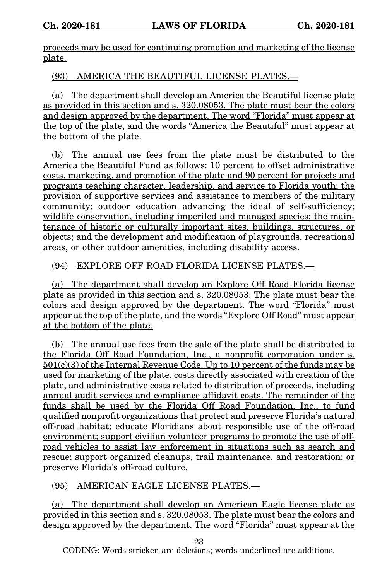proceeds may be used for continuing promotion and marketing of the license plate.

(93) AMERICA THE BEAUTIFUL LICENSE PLATES.—

(a) The department shall develop an America the Beautiful license plate as provided in this section and s. 320.08053. The plate must bear the colors and design approved by the department. The word "Florida" must appear at the top of the plate, and the words "America the Beautiful" must appear at the bottom of the plate.

(b) The annual use fees from the plate must be distributed to the America the Beautiful Fund as follows: 10 percent to offset administrative costs, marketing, and promotion of the plate and 90 percent for projects and programs teaching character, leadership, and service to Florida youth; the provision of supportive services and assistance to members of the military community; outdoor education advancing the ideal of self-sufficiency; wildlife conservation, including imperiled and managed species; the maintenance of historic or culturally important sites, buildings, structures, or objects; and the development and modification of playgrounds, recreational areas, or other outdoor amenities, including disability access.

# (94) EXPLORE OFF ROAD FLORIDA LICENSE PLATES.—

(a) The department shall develop an Explore Off Road Florida license plate as provided in this section and s. 320.08053. The plate must bear the colors and design approved by the department. The word "Florida" must appear at the top of the plate, and the words "Explore Off Road" must appear at the bottom of the plate.

(b) The annual use fees from the sale of the plate shall be distributed to the Florida Off Road Foundation, Inc., a nonprofit corporation under s. 501(c)(3) of the Internal Revenue Code. Up to 10 percent of the funds may be used for marketing of the plate, costs directly associated with creation of the plate, and administrative costs related to distribution of proceeds, including annual audit services and compliance affidavit costs. The remainder of the funds shall be used by the Florida Off Road Foundation, Inc., to fund qualified nonprofit organizations that protect and preserve Florida's natural off-road habitat; educate Floridians about responsible use of the off-road environment; support civilian volunteer programs to promote the use of offroad vehicles to assist law enforcement in situations such as search and rescue; support organized cleanups, trail maintenance, and restoration; or preserve Florida's off-road culture.

(95) AMERICAN EAGLE LICENSE PLATES.—

(a) The department shall develop an American Eagle license plate as provided in this section and s. 320.08053. The plate must bear the colors and design approved by the department. The word "Florida" must appear at the

23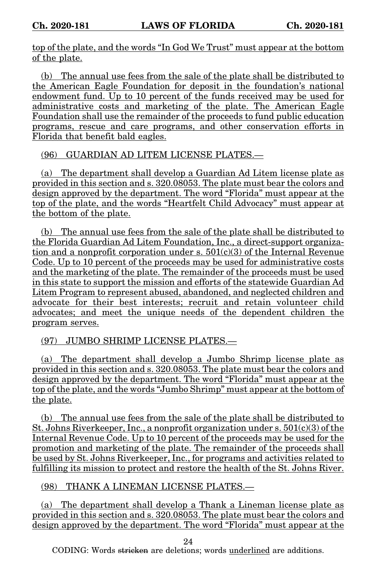top of the plate, and the words "In God We Trust" must appear at the bottom of the plate.

(b) The annual use fees from the sale of the plate shall be distributed to the American Eagle Foundation for deposit in the foundation's national endowment fund. Up to 10 percent of the funds received may be used for administrative costs and marketing of the plate. The American Eagle Foundation shall use the remainder of the proceeds to fund public education programs, rescue and care programs, and other conservation efforts in Florida that benefit bald eagles.

(96) GUARDIAN AD LITEM LICENSE PLATES.—

(a) The department shall develop a Guardian Ad Litem license plate as provided in this section and s. 320.08053. The plate must bear the colors and design approved by the department. The word "Florida" must appear at the top of the plate, and the words "Heartfelt Child Advocacy" must appear at the bottom of the plate.

(b) The annual use fees from the sale of the plate shall be distributed to the Florida Guardian Ad Litem Foundation, Inc., a direct-support organization and a nonprofit corporation under s.  $501(c)(3)$  of the Internal Revenue Code. Up to 10 percent of the proceeds may be used for administrative costs and the marketing of the plate. The remainder of the proceeds must be used in this state to support the mission and efforts of the statewide Guardian Ad Litem Program to represent abused, abandoned, and neglected children and advocate for their best interests; recruit and retain volunteer child advocates; and meet the unique needs of the dependent children the program serves.

(97) JUMBO SHRIMP LICENSE PLATES.—

(a) The department shall develop a Jumbo Shrimp license plate as provided in this section and s. 320.08053. The plate must bear the colors and design approved by the department. The word "Florida" must appear at the top of the plate, and the words "Jumbo Shrimp" must appear at the bottom of the plate.

(b) The annual use fees from the sale of the plate shall be distributed to St. Johns Riverkeeper, Inc., a nonprofit organization under  $s. 501(c)(3)$  of the Internal Revenue Code. Up to 10 percent of the proceeds may be used for the promotion and marketing of the plate. The remainder of the proceeds shall be used by St. Johns Riverkeeper, Inc., for programs and activities related to fulfilling its mission to protect and restore the health of the St. Johns River.

(98) THANK A LINEMAN LICENSE PLATES.—

(a) The department shall develop a Thank a Lineman license plate as provided in this section and s. 320.08053. The plate must bear the colors and design approved by the department. The word "Florida" must appear at the

24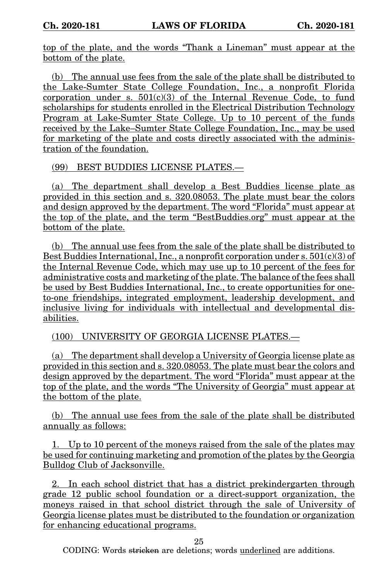top of the plate, and the words "Thank a Lineman" must appear at the bottom of the plate.

(b) The annual use fees from the sale of the plate shall be distributed to the Lake-Sumter State College Foundation, Inc., a nonprofit Florida corporation under s.  $501(c)(3)$  of the Internal Revenue Code, to fund scholarships for students enrolled in the Electrical Distribution Technology Program at Lake-Sumter State College. Up to 10 percent of the funds received by the Lake–Sumter State College Foundation, Inc., may be used for marketing of the plate and costs directly associated with the administration of the foundation.

(99) BEST BUDDIES LICENSE PLATES.—

(a) The department shall develop a Best Buddies license plate as provided in this section and s. 320.08053. The plate must bear the colors and design approved by the department. The word "Florida" must appear at the top of the plate, and the term "BestBuddies.org" must appear at the bottom of the plate.

(b) The annual use fees from the sale of the plate shall be distributed to Best Buddies International, Inc., a nonprofit corporation under s.  $501(c)(3)$  of the Internal Revenue Code, which may use up to 10 percent of the fees for administrative costs and marketing of the plate. The balance of the fees shall be used by Best Buddies International, Inc., to create opportunities for oneto-one friendships, integrated employment, leadership development, and inclusive living for individuals with intellectual and developmental disabilities.

(100) UNIVERSITY OF GEORGIA LICENSE PLATES.—

(a) The department shall develop a University of Georgia license plate as provided in this section and s. 320.08053. The plate must bear the colors and design approved by the department. The word "Florida" must appear at the top of the plate, and the words "The University of Georgia" must appear at the bottom of the plate.

(b) The annual use fees from the sale of the plate shall be distributed annually as follows:

1. Up to 10 percent of the moneys raised from the sale of the plates may be used for continuing marketing and promotion of the plates by the Georgia Bulldog Club of Jacksonville.

2. In each school district that has a district prekindergarten through grade 12 public school foundation or a direct-support organization, the moneys raised in that school district through the sale of University of Georgia license plates must be distributed to the foundation or organization for enhancing educational programs.

25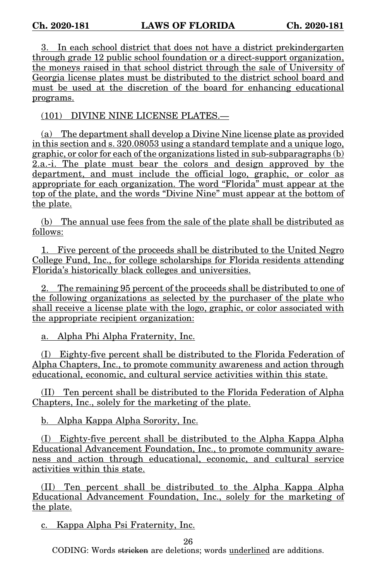3. In each school district that does not have a district prekindergarten through grade 12 public school foundation or a direct-support organization, the moneys raised in that school district through the sale of University of Georgia license plates must be distributed to the district school board and must be used at the discretion of the board for enhancing educational programs.

(101) DIVINE NINE LICENSE PLATES.—

(a) The department shall develop a Divine Nine license plate as provided in this section and s. 320.08053 using a standard template and a unique logo, graphic, or color for each of the organizations listed in sub-subparagraphs (b) 2.a.-i. The plate must bear the colors and design approved by the department, and must include the official logo, graphic, or color as appropriate for each organization. The word "Florida" must appear at the top of the plate, and the words "Divine Nine" must appear at the bottom of the plate.

(b) The annual use fees from the sale of the plate shall be distributed as follows:

1. Five percent of the proceeds shall be distributed to the United Negro College Fund, Inc., for college scholarships for Florida residents attending Florida's historically black colleges and universities.

2. The remaining 95 percent of the proceeds shall be distributed to one of the following organizations as selected by the purchaser of the plate who shall receive a license plate with the logo, graphic, or color associated with the appropriate recipient organization:

a. Alpha Phi Alpha Fraternity, Inc.

(I) Eighty-five percent shall be distributed to the Florida Federation of Alpha Chapters, Inc., to promote community awareness and action through educational, economic, and cultural service activities within this state.

(II) Ten percent shall be distributed to the Florida Federation of Alpha Chapters, Inc., solely for the marketing of the plate.

b. Alpha Kappa Alpha Sorority, Inc.

(I) Eighty-five percent shall be distributed to the Alpha Kappa Alpha Educational Advancement Foundation, Inc., to promote community awareness and action through educational, economic, and cultural service activities within this state.

(II) Ten percent shall be distributed to the Alpha Kappa Alpha Educational Advancement Foundation, Inc., solely for the marketing of the plate.

c. Kappa Alpha Psi Fraternity, Inc.

26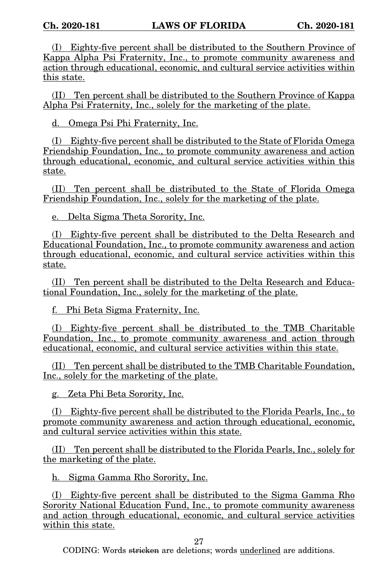(I) Eighty-five percent shall be distributed to the Southern Province of Kappa Alpha Psi Fraternity, Inc., to promote community awareness and action through educational, economic, and cultural service activities within this state.

(II) Ten percent shall be distributed to the Southern Province of Kappa Alpha Psi Fraternity, Inc., solely for the marketing of the plate.

d. Omega Psi Phi Fraternity, Inc.

(I) Eighty-five percent shall be distributed to the State of Florida Omega Friendship Foundation, Inc., to promote community awareness and action through educational, economic, and cultural service activities within this state.

(II) Ten percent shall be distributed to the State of Florida Omega Friendship Foundation, Inc., solely for the marketing of the plate.

e. Delta Sigma Theta Sorority, Inc.

(I) Eighty-five percent shall be distributed to the Delta Research and Educational Foundation, Inc., to promote community awareness and action through educational, economic, and cultural service activities within this state.

(II) Ten percent shall be distributed to the Delta Research and Educational Foundation, Inc., solely for the marketing of the plate.

f. Phi Beta Sigma Fraternity, Inc.

(I) Eighty-five percent shall be distributed to the TMB Charitable Foundation, Inc., to promote community awareness and action through educational, economic, and cultural service activities within this state.

(II) Ten percent shall be distributed to the TMB Charitable Foundation, Inc., solely for the marketing of the plate.

g. Zeta Phi Beta Sorority, Inc.

(I) Eighty-five percent shall be distributed to the Florida Pearls, Inc., to promote community awareness and action through educational, economic, and cultural service activities within this state.

(II) Ten percent shall be distributed to the Florida Pearls, Inc., solely for the marketing of the plate.

h. Sigma Gamma Rho Sorority, Inc.

(I) Eighty-five percent shall be distributed to the Sigma Gamma Rho Sorority National Education Fund, Inc., to promote community awareness and action through educational, economic, and cultural service activities within this state.

27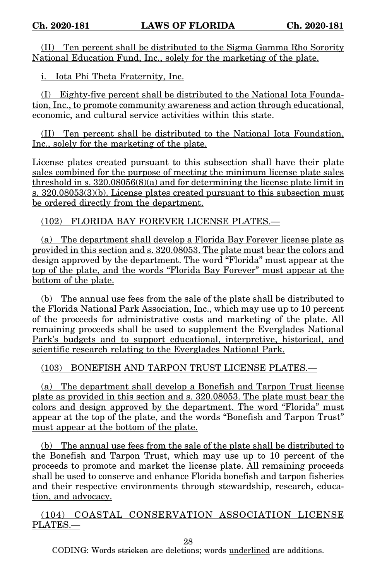(II) Ten percent shall be distributed to the Sigma Gamma Rho Sorority National Education Fund, Inc., solely for the marketing of the plate.

i. Iota Phi Theta Fraternity, Inc.

(I) Eighty-five percent shall be distributed to the National Iota Foundation, Inc., to promote community awareness and action through educational, economic, and cultural service activities within this state.

(II) Ten percent shall be distributed to the National Iota Foundation, Inc., solely for the marketing of the plate.

License plates created pursuant to this subsection shall have their plate sales combined for the purpose of meeting the minimum license plate sales threshold in s. 320.08056(8)(a) and for determining the license plate limit in s. 320.08053(3)(b). License plates created pursuant to this subsection must be ordered directly from the department.

(102) FLORIDA BAY FOREVER LICENSE PLATES.—

(a) The department shall develop a Florida Bay Forever license plate as provided in this section and s. 320.08053. The plate must bear the colors and design approved by the department. The word "Florida" must appear at the top of the plate, and the words "Florida Bay Forever" must appear at the bottom of the plate.

(b) The annual use fees from the sale of the plate shall be distributed to the Florida National Park Association, Inc., which may use up to 10 percent of the proceeds for administrative costs and marketing of the plate. All remaining proceeds shall be used to supplement the Everglades National Park's budgets and to support educational, interpretive, historical, and scientific research relating to the Everglades National Park.

(103) BONEFISH AND TARPON TRUST LICENSE PLATES.—

(a) The department shall develop a Bonefish and Tarpon Trust license plate as provided in this section and s. 320.08053. The plate must bear the colors and design approved by the department. The word "Florida" must appear at the top of the plate, and the words "Bonefish and Tarpon Trust" must appear at the bottom of the plate.

(b) The annual use fees from the sale of the plate shall be distributed to the Bonefish and Tarpon Trust, which may use up to 10 percent of the proceeds to promote and market the license plate. All remaining proceeds shall be used to conserve and enhance Florida bonefish and tarpon fisheries and their respective environments through stewardship, research, education, and advocacy.

(104) COASTAL CONSERVATION ASSOCIATION LICENSE PLATES.—

28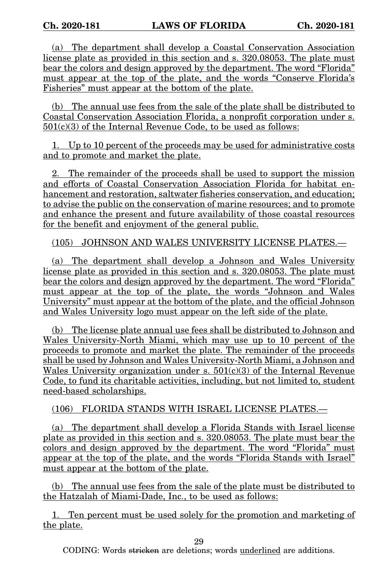(a) The department shall develop a Coastal Conservation Association license plate as provided in this section and s. 320.08053. The plate must bear the colors and design approved by the department. The word "Florida" must appear at the top of the plate, and the words "Conserve Florida's Fisheries" must appear at the bottom of the plate.

(b) The annual use fees from the sale of the plate shall be distributed to Coastal Conservation Association Florida, a nonprofit corporation under s. 501(c)(3) of the Internal Revenue Code, to be used as follows:

1. Up to 10 percent of the proceeds may be used for administrative costs and to promote and market the plate.

2. The remainder of the proceeds shall be used to support the mission and efforts of Coastal Conservation Association Florida for habitat enhancement and restoration, saltwater fisheries conservation, and education; to advise the public on the conservation of marine resources; and to promote and enhance the present and future availability of those coastal resources for the benefit and enjoyment of the general public.

(105) JOHNSON AND WALES UNIVERSITY LICENSE PLATES.—

(a) The department shall develop a Johnson and Wales University license plate as provided in this section and s. 320.08053. The plate must bear the colors and design approved by the department. The word "Florida" must appear at the top of the plate, the words "Johnson and Wales University" must appear at the bottom of the plate, and the official Johnson and Wales University logo must appear on the left side of the plate.

(b) The license plate annual use fees shall be distributed to Johnson and Wales University-North Miami, which may use up to 10 percent of the proceeds to promote and market the plate. The remainder of the proceeds shall be used by Johnson and Wales University-North Miami, a Johnson and Wales University organization under s.  $501(c)(3)$  of the Internal Revenue Code, to fund its charitable activities, including, but not limited to, student need-based scholarships.

(106) FLORIDA STANDS WITH ISRAEL LICENSE PLATES.—

(a) The department shall develop a Florida Stands with Israel license plate as provided in this section and s. 320.08053. The plate must bear the colors and design approved by the department. The word "Florida" must appear at the top of the plate, and the words "Florida Stands with Israel" must appear at the bottom of the plate.

(b) The annual use fees from the sale of the plate must be distributed to the Hatzalah of Miami-Dade, Inc., to be used as follows:

1. Ten percent must be used solely for the promotion and marketing of the plate.

29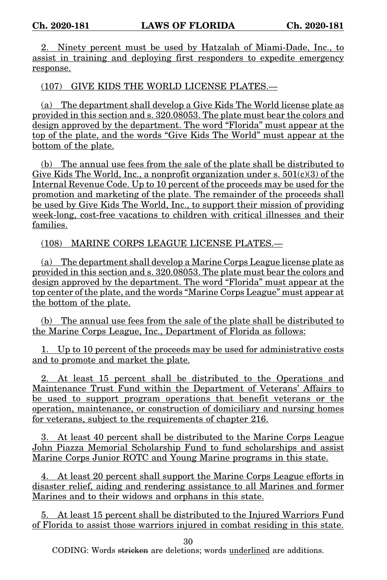2. Ninety percent must be used by Hatzalah of Miami-Dade, Inc., to assist in training and deploying first responders to expedite emergency response.

(107) GIVE KIDS THE WORLD LICENSE PLATES.—

(a) The department shall develop a Give Kids The World license plate as provided in this section and s. 320.08053. The plate must bear the colors and design approved by the department. The word "Florida" must appear at the top of the plate, and the words "Give Kids The World" must appear at the bottom of the plate.

(b) The annual use fees from the sale of the plate shall be distributed to Give Kids The World, Inc., a nonprofit organization under s.  $501(c)(3)$  of the Internal Revenue Code. Up to 10 percent of the proceeds may be used for the promotion and marketing of the plate. The remainder of the proceeds shall be used by Give Kids The World, Inc., to support their mission of providing week-long, cost-free vacations to children with critical illnesses and their families.

(108) MARINE CORPS LEAGUE LICENSE PLATES.—

(a) The department shall develop a Marine Corps League license plate as provided in this section and s. 320.08053. The plate must bear the colors and design approved by the department. The word "Florida" must appear at the top center of the plate, and the words "Marine Corps League" must appear at the bottom of the plate.

(b) The annual use fees from the sale of the plate shall be distributed to the Marine Corps League, Inc., Department of Florida as follows:

1. Up to 10 percent of the proceeds may be used for administrative costs and to promote and market the plate.

2. At least 15 percent shall be distributed to the Operations and Maintenance Trust Fund within the Department of Veterans' Affairs to be used to support program operations that benefit veterans or the operation, maintenance, or construction of domiciliary and nursing homes for veterans, subject to the requirements of chapter 216.

3. At least 40 percent shall be distributed to the Marine Corps League John Piazza Memorial Scholarship Fund to fund scholarships and assist Marine Corps Junior ROTC and Young Marine programs in this state.

4. At least 20 percent shall support the Marine Corps League efforts in disaster relief, aiding and rendering assistance to all Marines and former Marines and to their widows and orphans in this state.

5. At least 15 percent shall be distributed to the Injured Warriors Fund of Florida to assist those warriors injured in combat residing in this state.

30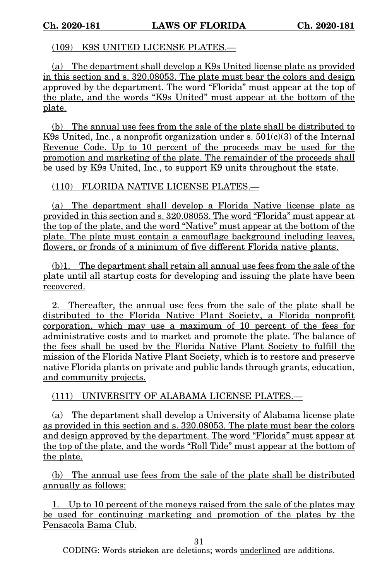### (109) K9S UNITED LICENSE PLATES.—

(a) The department shall develop a K9s United license plate as provided in this section and s. 320.08053. The plate must bear the colors and design approved by the department. The word "Florida" must appear at the top of the plate, and the words "K9s United" must appear at the bottom of the plate.

(b) The annual use fees from the sale of the plate shall be distributed to K9s United, Inc., a nonprofit organization under s.  $501(c)(3)$  of the Internal Revenue Code. Up to 10 percent of the proceeds may be used for the promotion and marketing of the plate. The remainder of the proceeds shall be used by K9s United, Inc., to support K9 units throughout the state.

(110) FLORIDA NATIVE LICENSE PLATES.—

(a) The department shall develop a Florida Native license plate as provided in this section and s. 320.08053. The word "Florida" must appear at the top of the plate, and the word "Native" must appear at the bottom of the plate. The plate must contain a camouflage background including leaves, flowers, or fronds of a minimum of five different Florida native plants.

(b)1. The department shall retain all annual use fees from the sale of the plate until all startup costs for developing and issuing the plate have been recovered.

2. Thereafter, the annual use fees from the sale of the plate shall be distributed to the Florida Native Plant Society, a Florida nonprofit corporation, which may use a maximum of 10 percent of the fees for administrative costs and to market and promote the plate. The balance of the fees shall be used by the Florida Native Plant Society to fulfill the mission of the Florida Native Plant Society, which is to restore and preserve native Florida plants on private and public lands through grants, education, and community projects.

(111) UNIVERSITY OF ALABAMA LICENSE PLATES.—

(a) The department shall develop a University of Alabama license plate as provided in this section and s. 320.08053. The plate must bear the colors and design approved by the department. The word "Florida" must appear at the top of the plate, and the words "Roll Tide" must appear at the bottom of the plate.

(b) The annual use fees from the sale of the plate shall be distributed annually as follows:

1. Up to 10 percent of the moneys raised from the sale of the plates may be used for continuing marketing and promotion of the plates by the Pensacola Bama Club.

31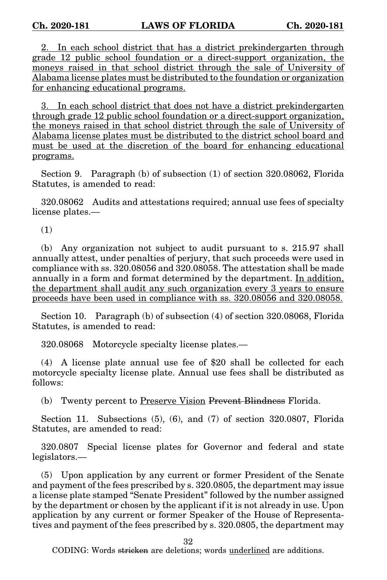2. In each school district that has a district prekindergarten through grade 12 public school foundation or a direct-support organization, the moneys raised in that school district through the sale of University of Alabama license plates must be distributed to the foundation or organization for enhancing educational programs.

3. In each school district that does not have a district prekindergarten through grade 12 public school foundation or a direct-support organization, the moneys raised in that school district through the sale of University of Alabama license plates must be distributed to the district school board and must be used at the discretion of the board for enhancing educational programs.

Section 9. Paragraph (b) of subsection (1) of section 320.08062, Florida Statutes, is amended to read:

320.08062 Audits and attestations required; annual use fees of specialty license plates.—

(1)

(b) Any organization not subject to audit pursuant to s. 215.97 shall annually attest, under penalties of perjury, that such proceeds were used in compliance with ss. 320.08056 and 320.08058. The attestation shall be made annually in a form and format determined by the department. In addition, the department shall audit any such organization every 3 years to ensure proceeds have been used in compliance with ss. 320.08056 and 320.08058.

Section 10. Paragraph (b) of subsection (4) of section 320.08068, Florida Statutes, is amended to read:

320.08068 Motorcycle specialty license plates.—

(4) A license plate annual use fee of \$20 shall be collected for each motorcycle specialty license plate. Annual use fees shall be distributed as follows:

(b) Twenty percent to Preserve Vision Prevent Blindness Florida.

Section 11. Subsections (5), (6), and (7) of section 320.0807, Florida Statutes, are amended to read:

320.0807 Special license plates for Governor and federal and state legislators.—

(5) Upon application by any current or former President of the Senate and payment of the fees prescribed by s. 320.0805, the department may issue a license plate stamped "Senate President" followed by the number assigned by the department or chosen by the applicant if it is not already in use. Upon application by any current or former Speaker of the House of Representatives and payment of the fees prescribed by s. 320.0805, the department may

32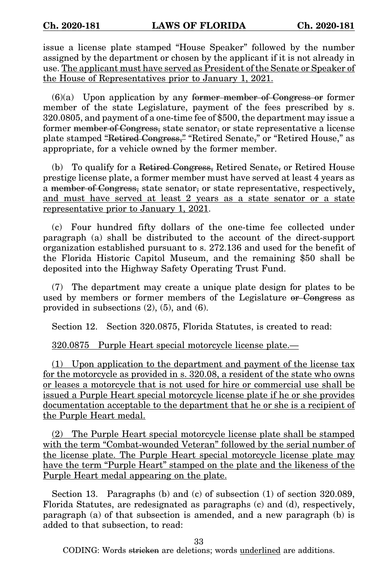issue a license plate stamped "House Speaker" followed by the number assigned by the department or chosen by the applicant if it is not already in use. The applicant must have served as President of the Senate or Speaker of the House of Representatives prior to January 1, 2021.

 $(6)(a)$  Upon application by any former member of Congress or former member of the state Legislature, payment of the fees prescribed by s. 320.0805, and payment of a one-time fee of \$500, the department may issue a former member of Congress, state senator, or state representative a license plate stamped "Retired Congress," "Retired Senate," or "Retired House," as appropriate, for a vehicle owned by the former member.

(b) To qualify for a Retired Congress, Retired Senate, or Retired House prestige license plate, a former member must have served at least 4 years as a member of Congress, state senator, or state representative, respectively, and must have served at least 2 years as a state senator or a state representative prior to January 1, 2021.

(c) Four hundred fifty dollars of the one-time fee collected under paragraph (a) shall be distributed to the account of the direct-support organization established pursuant to s. 272.136 and used for the benefit of the Florida Historic Capitol Museum, and the remaining \$50 shall be deposited into the Highway Safety Operating Trust Fund.

(7) The department may create a unique plate design for plates to be used by members or former members of the Legislature or Congress as provided in subsections (2), (5), and (6).

Section 12. Section 320.0875, Florida Statutes, is created to read:

320.0875 Purple Heart special motorcycle license plate.—

(1) Upon application to the department and payment of the license tax for the motorcycle as provided in s. 320.08, a resident of the state who owns or leases a motorcycle that is not used for hire or commercial use shall be issued a Purple Heart special motorcycle license plate if he or she provides documentation acceptable to the department that he or she is a recipient of the Purple Heart medal.

(2) The Purple Heart special motorcycle license plate shall be stamped with the term "Combat-wounded Veteran" followed by the serial number of the license plate. The Purple Heart special motorcycle license plate may have the term "Purple Heart" stamped on the plate and the likeness of the Purple Heart medal appearing on the plate.

Section 13. Paragraphs (b) and (c) of subsection (1) of section 320.089, Florida Statutes, are redesignated as paragraphs (c) and (d), respectively, paragraph (a) of that subsection is amended, and a new paragraph (b) is added to that subsection, to read:

33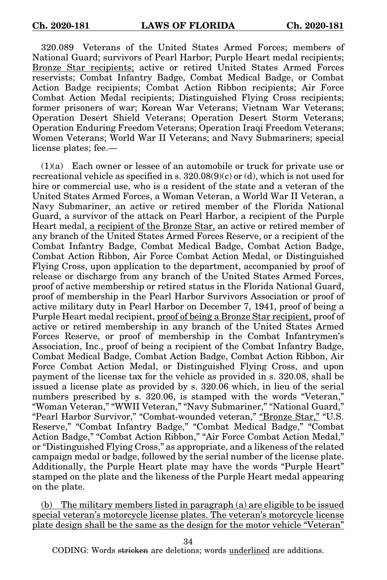320.089 Veterans of the United States Armed Forces; members of National Guard; survivors of Pearl Harbor; Purple Heart medal recipients; Bronze Star recipients; active or retired United States Armed Forces reservists; Combat Infantry Badge, Combat Medical Badge, or Combat Action Badge recipients; Combat Action Ribbon recipients; Air Force Combat Action Medal recipients; Distinguished Flying Cross recipients; former prisoners of war; Korean War Veterans; Vietnam War Veterans; Operation Desert Shield Veterans; Operation Desert Storm Veterans; Operation Enduring Freedom Veterans; Operation Iraqi Freedom Veterans; Women Veterans; World War II Veterans; and Navy Submariners; special license plates; fee.—

(1)(a) Each owner or lessee of an automobile or truck for private use or recreational vehicle as specified in s.  $320.08(9)(c)$  or (d), which is not used for hire or commercial use, who is a resident of the state and a veteran of the United States Armed Forces, a Woman Veteran, a World War II Veteran, a Navy Submariner, an active or retired member of the Florida National Guard, a survivor of the attack on Pearl Harbor, a recipient of the Purple Heart medal, a recipient of the Bronze Star, an active or retired member of any branch of the United States Armed Forces Reserve, or a recipient of the Combat Infantry Badge, Combat Medical Badge, Combat Action Badge, Combat Action Ribbon, Air Force Combat Action Medal, or Distinguished Flying Cross, upon application to the department, accompanied by proof of release or discharge from any branch of the United States Armed Forces, proof of active membership or retired status in the Florida National Guard, proof of membership in the Pearl Harbor Survivors Association or proof of active military duty in Pearl Harbor on December 7, 1941, proof of being a Purple Heart medal recipient, proof of being a Bronze Star recipient, proof of active or retired membership in any branch of the United States Armed Forces Reserve, or proof of membership in the Combat Infantrymen's Association, Inc., proof of being a recipient of the Combat Infantry Badge, Combat Medical Badge, Combat Action Badge, Combat Action Ribbon, Air Force Combat Action Medal, or Distinguished Flying Cross, and upon payment of the license tax for the vehicle as provided in s. 320.08, shall be issued a license plate as provided by s. 320.06 which, in lieu of the serial numbers prescribed by s. 320.06, is stamped with the words "Veteran," "Woman Veteran," "WWII Veteran," "Navy Submariner," "National Guard," "Pearl Harbor Survivor," "Combat-wounded veteran," "Bronze Star," "U.S. Reserve," "Combat Infantry Badge," "Combat Medical Badge," "Combat Action Badge," "Combat Action Ribbon," "Air Force Combat Action Medal," or "Distinguished Flying Cross," as appropriate, and a likeness of the related campaign medal or badge, followed by the serial number of the license plate. Additionally, the Purple Heart plate may have the words "Purple Heart" stamped on the plate and the likeness of the Purple Heart medal appearing on the plate.

(b) The military members listed in paragraph (a) are eligible to be issued special veteran's motorcycle license plates. The veteran's motorcycle license plate design shall be the same as the design for the motor vehicle "Veteran"

34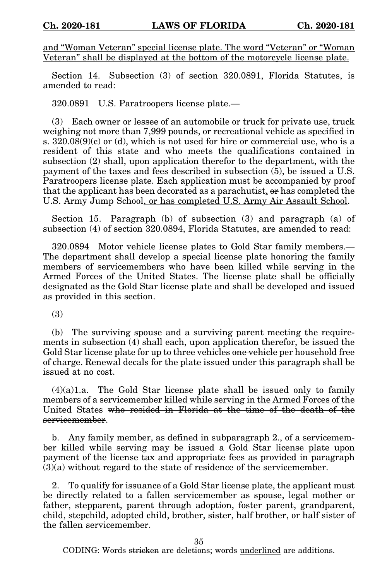and "Woman Veteran" special license plate. The word "Veteran" or "Woman Veteran" shall be displayed at the bottom of the motorcycle license plate.

Section 14. Subsection (3) of section 320.0891, Florida Statutes, is amended to read:

320.0891 U.S. Paratroopers license plate.—

(3) Each owner or lessee of an automobile or truck for private use, truck weighing not more than 7,999 pounds, or recreational vehicle as specified in s.  $320.08(9)(c)$  or (d), which is not used for hire or commercial use, who is a resident of this state and who meets the qualifications contained in subsection (2) shall, upon application therefor to the department, with the payment of the taxes and fees described in subsection (5), be issued a U.S. Paratroopers license plate. Each application must be accompanied by proof that the applicant has been decorated as a parachutist, or has completed the U.S. Army Jump School, or has completed U.S. Army Air Assault School.

Section 15. Paragraph (b) of subsection (3) and paragraph (a) of subsection (4) of section 320.0894, Florida Statutes, are amended to read:

320.0894 Motor vehicle license plates to Gold Star family members.— The department shall develop a special license plate honoring the family members of servicemembers who have been killed while serving in the Armed Forces of the United States. The license plate shall be officially designated as the Gold Star license plate and shall be developed and issued as provided in this section.

(3)

(b) The surviving spouse and a surviving parent meeting the requirements in subsection (4) shall each, upon application therefor, be issued the Gold Star license plate for up to three vehicles one vehicle per household free of charge. Renewal decals for the plate issued under this paragraph shall be issued at no cost.

(4)(a)1.a. The Gold Star license plate shall be issued only to family members of a servicemember killed while serving in the Armed Forces of the United States who resided in Florida at the time of the death of the servicemember.

b. Any family member, as defined in subparagraph 2., of a servicemember killed while serving may be issued a Gold Star license plate upon payment of the license tax and appropriate fees as provided in paragraph  $(3)(a)$  without regard to the state of residence of the servicemember.

2. To qualify for issuance of a Gold Star license plate, the applicant must be directly related to a fallen servicemember as spouse, legal mother or father, stepparent, parent through adoption, foster parent, grandparent, child, stepchild, adopted child, brother, sister, half brother, or half sister of the fallen servicemember.

35